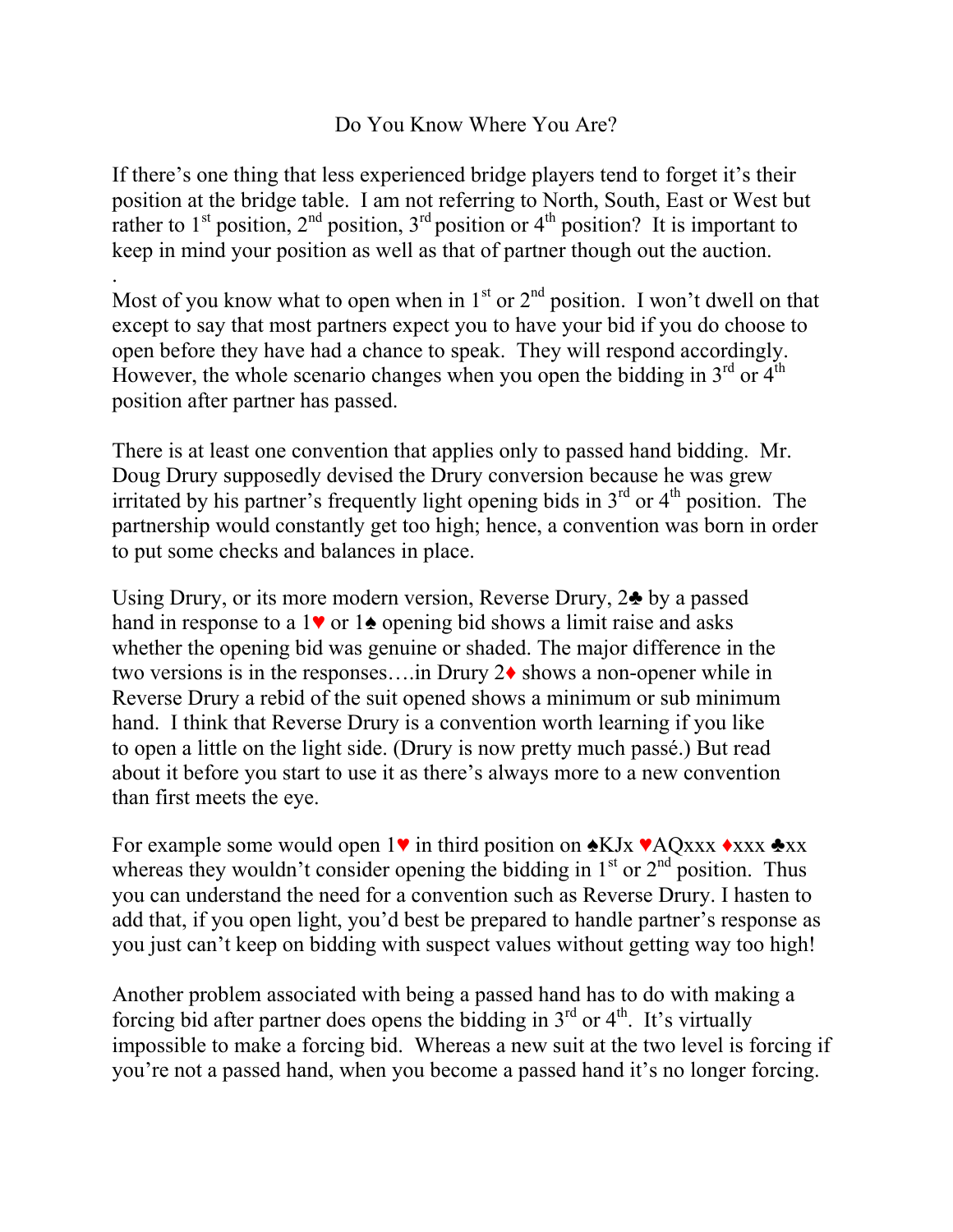## Do You Know Where You Are?

If there's one thing that less experienced bridge players tend to forget it's their position at the bridge table. I am not referring to North, South, East or West but rather to  $1<sup>st</sup>$  position,  $2<sup>nd</sup>$  position,  $3<sup>rd</sup>$  position or  $4<sup>th</sup>$  position? It is important to keep in mind your position as well as that of partner though out the auction.

. Most of you know what to open when in  $1<sup>st</sup>$  or  $2<sup>nd</sup>$  position. I won't dwell on that except to say that most partners expect you to have your bid if you do choose to open before they have had a chance to speak. They will respond accordingly. However, the whole scenario changes when you open the bidding in  $3<sup>rd</sup>$  or  $4<sup>th</sup>$ position after partner has passed.

There is at least one convention that applies only to passed hand bidding. Mr. Doug Drury supposedly devised the Drury conversion because he was grew irritated by his partner's frequently light opening bids in  $3<sup>rd</sup>$  or  $4<sup>th</sup>$  position. The partnership would constantly get too high; hence, a convention was born in order to put some checks and balances in place.

Using Drury, or its more modern version, Reverse Drury, 2♣ by a passed hand in response to a  $1\blacktriangleright$  or  $1\blacktriangleright$  opening bid shows a limit raise and asks whether the opening bid was genuine or shaded. The major difference in the two versions is in the responses….in Drury 2♦ shows a non-opener while in Reverse Drury a rebid of the suit opened shows a minimum or sub minimum hand. I think that Reverse Drury is a convention worth learning if you like to open a little on the light side. (Drury is now pretty much passé.) But read about it before you start to use it as there's always more to a new convention than first meets the eye.

For example some would open 1 $\triangledown$  in third position on  $\triangle$ KJx  $\triangle$ AQxxx  $\triangle$ xxx  $\triangle$ xx whereas they wouldn't consider opening the bidding in  $1<sup>st</sup>$  or  $2<sup>nd</sup>$  position. Thus you can understand the need for a convention such as Reverse Drury. I hasten to add that, if you open light, you'd best be prepared to handle partner's response as you just can't keep on bidding with suspect values without getting way too high!

Another problem associated with being a passed hand has to do with making a forcing bid after partner does opens the bidding in  $3<sup>rd</sup>$  or  $4<sup>th</sup>$ . It's virtually impossible to make a forcing bid. Whereas a new suit at the two level is forcing if you're not a passed hand, when you become a passed hand it's no longer forcing.